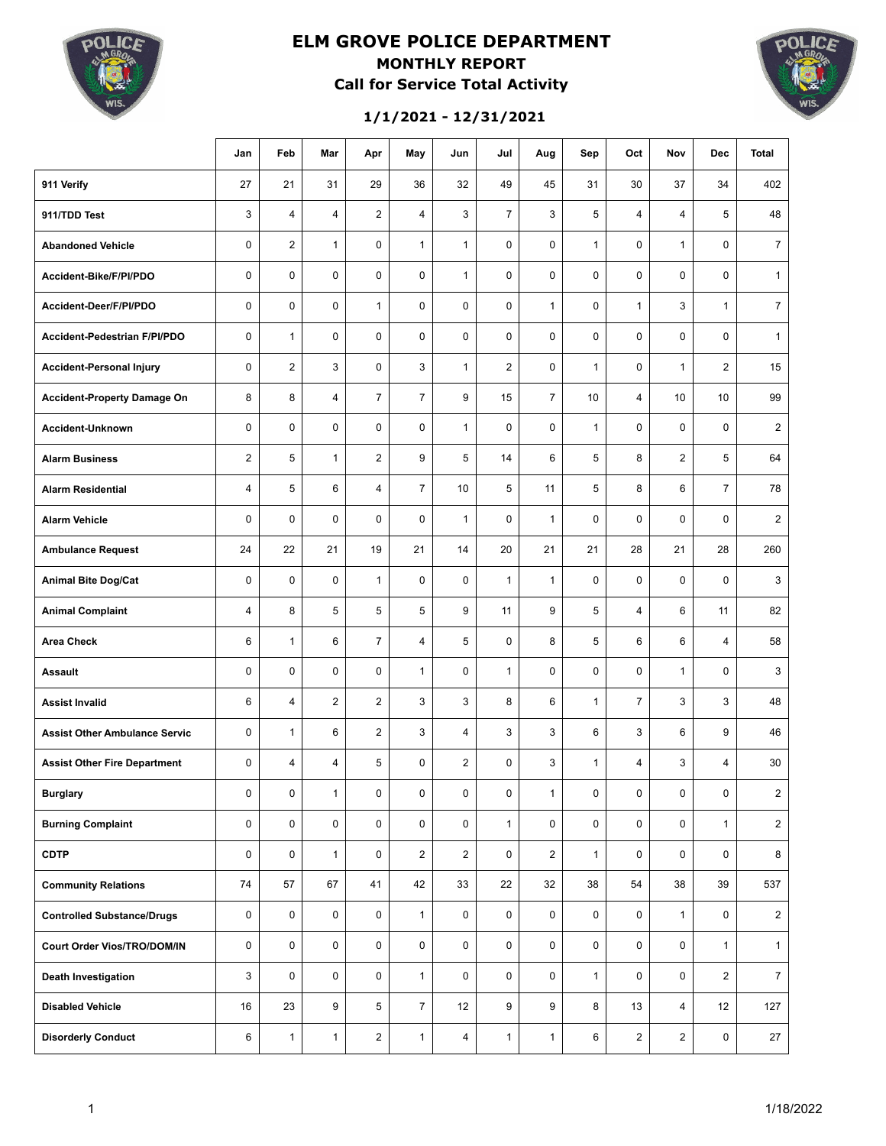

### **ELM GROVE POLICE DEPARTMENT MONTHLY REPORT Call for Service Total Activity**



**1/1/2021 - 12/31/2021**

|                                      | Jan            | Feb            | Mar            | Apr            | May            | Jun            | Jul            | Aug            | Sep          | Oct            | Nov            | <b>Dec</b>     | <b>Total</b>   |
|--------------------------------------|----------------|----------------|----------------|----------------|----------------|----------------|----------------|----------------|--------------|----------------|----------------|----------------|----------------|
| 911 Verify                           | 27             | 21             | 31             | 29             | 36             | 32             | 49             | 45             | 31           | 30             | 37             | 34             | 402            |
| 911/TDD Test                         | 3              | $\overline{4}$ | $\overline{4}$ | 2              | $\overline{4}$ | 3              | $\overline{7}$ | 3              | 5            | $\overline{4}$ | $\overline{4}$ | 5              | 48             |
| <b>Abandoned Vehicle</b>             | $\mathbf 0$    | $\overline{2}$ | $\mathbf{1}$   | $\mathbf 0$    | $\mathbf{1}$   | $\mathbf{1}$   | $\mathbf 0$    | 0              | $\mathbf{1}$ | $\mathbf 0$    | $\mathbf{1}$   | $\mathbf 0$    | $\overline{7}$ |
| Accident-Bike/F/PI/PDO               | $\mathbf 0$    | $\mathbf 0$    | $\mathbf 0$    | $\mathbf 0$    | $\mathbf 0$    | $\mathbf{1}$   | $\mathbf 0$    | $\mathbf 0$    | $\mathbf 0$  | $\mathbf 0$    | $\mathbf 0$    | $\mathbf 0$    | $\mathbf{1}$   |
| Accident-Deer/F/PI/PDO               | $\mathbf 0$    | $\mathbf 0$    | $\mathbf 0$    | $\mathbf{1}$   | $\mathbf 0$    | $\mathbf 0$    | $\mathbf 0$    | $\mathbf{1}$   | $\mathbf 0$  | $\mathbf{1}$   | 3              | $\mathbf{1}$   | $\overline{7}$ |
| Accident-Pedestrian F/PI/PDO         | $\mathbf 0$    | $\mathbf{1}$   | $\mathbf 0$    | $\mathbf 0$    | $\mathbf 0$    | $\mathbf 0$    | $\mathbf 0$    | 0              | $\mathbf 0$  | $\mathbf 0$    | $\mathbf 0$    | $\mathbf 0$    | $\mathbf{1}$   |
| <b>Accident-Personal Injury</b>      | $\mathbf 0$    | $\overline{2}$ | 3              | $\mathbf 0$    | 3              | $\mathbf{1}$   | $\overline{2}$ | 0              | $\mathbf{1}$ | $\mathbf 0$    | $\mathbf{1}$   | $\overline{c}$ | 15             |
| <b>Accident-Property Damage On</b>   | 8              | 8              | $\overline{4}$ | $\overline{7}$ | $\overline{7}$ | 9              | 15             | $\overline{7}$ | 10           | $\overline{4}$ | 10             | 10             | 99             |
| Accident-Unknown                     | $\mathbf 0$    | $\mathbf 0$    | $\mathbf 0$    | $\mathbf 0$    | $\mathbf 0$    | $\mathbf{1}$   | $\mathbf 0$    | $\mathbf 0$    | $\mathbf{1}$ | $\mathbf 0$    | $\mathbf 0$    | $\mathbf 0$    | $\overline{2}$ |
| <b>Alarm Business</b>                | $\overline{2}$ | 5              | $\mathbf{1}$   | $\overline{2}$ | 9              | 5              | 14             | 6              | 5            | 8              | $\overline{2}$ | 5              | 64             |
| <b>Alarm Residential</b>             | 4              | 5              | 6              | $\overline{4}$ | $\overline{7}$ | 10             | 5              | 11             | 5            | 8              | 6              | $\overline{7}$ | 78             |
| <b>Alarm Vehicle</b>                 | $\mathbf 0$    | $\mathbf 0$    | $\mathbf 0$    | $\mathbf 0$    | $\mathbf 0$    | $\mathbf{1}$   | $\mathbf 0$    | $\mathbf{1}$   | $\mathbf 0$  | $\mathbf 0$    | 0              | $\mathbf 0$    | $\overline{2}$ |
| <b>Ambulance Request</b>             | 24             | 22             | 21             | 19             | 21             | 14             | 20             | 21             | 21           | 28             | 21             | 28             | 260            |
| <b>Animal Bite Dog/Cat</b>           | $\mathbf 0$    | $\mathbf 0$    | $\mathbf 0$    | $\mathbf{1}$   | 0              | $\mathbf 0$    | $\mathbf{1}$   | $\mathbf{1}$   | $\mathbf 0$  | $\mathbf 0$    | 0              | $\mathbf 0$    | 3              |
| <b>Animal Complaint</b>              | 4              | 8              | 5              | 5              | 5              | 9              | 11             | 9              | 5            | $\overline{4}$ | 6              | 11             | 82             |
| Area Check                           | 6              | $\mathbf{1}$   | 6              | $\overline{7}$ | $\overline{4}$ | 5              | $\mathbf 0$    | 8              | 5            | 6              | 6              | 4              | 58             |
| <b>Assault</b>                       | 0              | $\mathbf 0$    | $\mathbf 0$    | 0              | $\mathbf{1}$   | $\mathbf 0$    | $\mathbf{1}$   | 0              | $\mathbf 0$  | $\mathbf 0$    | $\mathbf{1}$   | 0              | 3              |
| <b>Assist Invalid</b>                | 6              | 4              | $\overline{2}$ | $\overline{2}$ | 3              | 3              | 8              | 6              | $\mathbf{1}$ | $\overline{7}$ | 3              | 3              | 48             |
| <b>Assist Other Ambulance Servic</b> | 0              | $\mathbf{1}$   | 6              | 2              | 3              | $\overline{4}$ | 3              | 3              | 6            | 3              | 6              | 9              | 46             |
| <b>Assist Other Fire Department</b>  | 0              | 4              | $\overline{4}$ | 5              | 0              | $\overline{2}$ | 0              | 3              | $\mathbf{1}$ | $\overline{4}$ | 3              | 4              | 30             |
| <b>Burglary</b>                      | 0              | 0              | $\mathbf{1}$   | 0              | 0              | 0              | 0              | $\mathbf{1}$   | 0            | 0              | 0              | 0              | $\overline{2}$ |
| <b>Burning Complaint</b>             | 0              | $\mathbf 0$    | $\mathbf 0$    | $\mathbf 0$    | $\mathbf 0$    | $\mathbf 0$    | $\mathbf{1}$   | 0              | 0            | 0              | $\mathsf 0$    | $\mathbf{1}$   | $\mathbf 2$    |
| <b>CDTP</b>                          | 0              | $\mathbf 0$    | $\mathbf{1}$   | 0              | $\mathbf{2}$   | $\overline{2}$ | 0              | $\overline{2}$ | $\mathbf{1}$ | 0              | $\mathsf 0$    | 0              | 8              |
| <b>Community Relations</b>           | 74             | 57             | 67             | 41             | 42             | 33             | 22             | 32             | 38           | 54             | 38             | 39             | 537            |
| <b>Controlled Substance/Drugs</b>    | 0              | $\mathbf 0$    | $\mathbf 0$    | 0              | $\mathbf{1}$   | $\mathsf 0$    | 0              | $\mathbf 0$    | 0            | 0              | $\mathbf{1}$   | $\mathbf 0$    | $\overline{2}$ |
| Court Order Vios/TRO/DOM/IN          | 0              | $\mathbf 0$    | 0              | 0              | $\mathbf 0$    | $\mathbf 0$    | $\mathbf 0$    | $\mathbf 0$    | 0            | $\mathbf 0$    | 0              | $\mathbf{1}$   | $\mathbf{1}$   |
| Death Investigation                  | 3              | 0              | 0              | 0              | $\mathbf{1}$   | 0              | 0              | 0              | $\mathbf{1}$ | 0              | 0              | $\overline{2}$ | $\overline{7}$ |
| <b>Disabled Vehicle</b>              | 16             | 23             | 9              | $\sqrt{5}$     | $\overline{7}$ | 12             | 9              | 9              | 8            | 13             | 4              | 12             | 127            |
| <b>Disorderly Conduct</b>            | 6              | $\mathbf{1}$   | $\mathbf{1}$   | $\overline{c}$ | $\mathbf{1}$   | 4              | $\mathbf{1}$   | $\mathbf{1}$   | 6            | $\overline{a}$ | $\overline{c}$ | $\mathsf 0$    | 27             |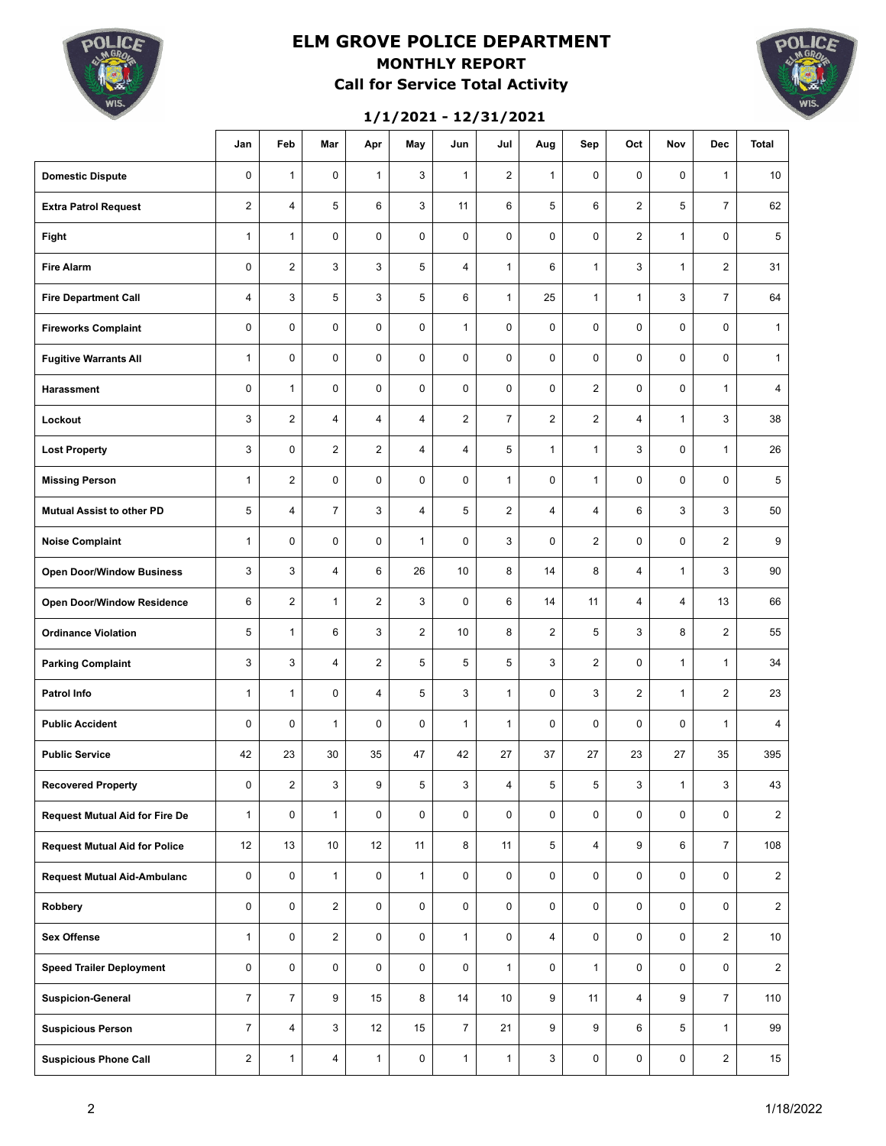

### **ELM GROVE POLICE DEPARTMENT MONTHLY REPORT Call for Service Total Activity**

#### **1/1/2021 - 12/31/2021**



|                                       | Jan                     | Feb            | Mar            | Apr            | May            | Jun            | Jul            | Aug            | Sep             | Oct            | Nov          | <b>Dec</b>     | <b>Total</b>    |
|---------------------------------------|-------------------------|----------------|----------------|----------------|----------------|----------------|----------------|----------------|-----------------|----------------|--------------|----------------|-----------------|
| <b>Domestic Dispute</b>               | $\mathbf 0$             | $\mathbf{1}$   | $\mathbf 0$    | $\mathbf{1}$   | 3              | $\mathbf{1}$   | $\overline{2}$ | $\mathbf{1}$   | $\mathbf 0$     | $\mathbf 0$    | $\mathbf 0$  | $\mathbf{1}$   | 10              |
| <b>Extra Patrol Request</b>           | $\overline{2}$          | $\overline{4}$ | 5              | 6              | 3              | 11             | 6              | 5              | 6               | $\overline{2}$ | 5            | $\overline{7}$ | 62              |
| Fight                                 | $\mathbf{1}$            | $\mathbf{1}$   | $\mathbf 0$    | 0              | $\pmb{0}$      | $\mathbf 0$    | 0              | 0              | $\mathbf 0$     | $\overline{2}$ | $\mathbf{1}$ | 0              | 5               |
| <b>Fire Alarm</b>                     | $\mathbf 0$             | $\overline{2}$ | 3              | 3              | 5              | $\overline{4}$ | $\mathbf{1}$   | 6              | $\mathbf{1}$    | 3              | $\mathbf{1}$ | 2              | 31              |
| <b>Fire Department Call</b>           | $\overline{4}$          | 3              | 5              | 3              | 5              | 6              | $\mathbf{1}$   | 25             | $\mathbf{1}$    | $\mathbf{1}$   | 3            | 7              | 64              |
| <b>Fireworks Complaint</b>            | $\mathbf 0$             | $\mathbf 0$    | $\mathbf 0$    | 0              | 0              | $\mathbf{1}$   | $\mathbf 0$    | $\mathbf 0$    | $\mathbf 0$     | $\mathbf 0$    | 0            | 0              | $\mathbf{1}$    |
| <b>Fugitive Warrants All</b>          | $\mathbf{1}$            | 0              | $\mathbf 0$    | 0              | 0              | $\mathbf 0$    | $\mathbf 0$    | 0              | $\mathbf 0$     | $\mathbf 0$    | 0            | 0              | $\mathbf{1}$    |
| <b>Harassment</b>                     | 0                       | $\mathbf{1}$   | $\mathbf 0$    | 0              | 0              | $\mathbf 0$    | 0              | $\mathbf 0$    | $\overline{2}$  | $\mathbf 0$    | 0            | $\mathbf{1}$   | $\overline{4}$  |
| Lockout                               | 3                       | $\overline{2}$ | 4              | $\overline{4}$ | 4              | $\overline{2}$ | $\overline{7}$ | $\overline{2}$ | $\overline{2}$  | $\overline{4}$ | $\mathbf{1}$ | 3              | 38              |
| <b>Lost Property</b>                  | 3                       | $\mathbf 0$    | 2              | $\overline{2}$ | 4              | $\overline{4}$ | 5              | $\mathbf{1}$   | $\mathbf{1}$    | 3              | 0            | $\mathbf{1}$   | 26              |
| <b>Missing Person</b>                 | $\mathbf{1}$            | $\overline{2}$ | 0              | 0              | 0              | $\pmb{0}$      | $\mathbf{1}$   | $\pmb{0}$      | $\mathbf{1}$    | $\mathbf 0$    | 0            | 0              | 5               |
| <b>Mutual Assist to other PD</b>      | 5                       | 4              | $\overline{7}$ | 3              | 4              | $\overline{5}$ | $\overline{2}$ | 4              | 4               | 6              | 3            | 3              | 50              |
| <b>Noise Complaint</b>                | $\mathbf{1}$            | 0              | 0              | $\mathsf 0$    | $\mathbf{1}$   | $\pmb{0}$      | 3              | 0              | $\overline{2}$  | $\mathbf 0$    | 0            | $\overline{2}$ | 9               |
| <b>Open Door/Window Business</b>      | 3                       | 3              | 4              | 6              | 26             | 10             | 8              | 14             | 8               | 4              | $\mathbf{1}$ | 3              | 90              |
| <b>Open Door/Window Residence</b>     | 6                       | $\overline{2}$ | $\mathbf{1}$   | $\overline{2}$ | 3              | $\pmb{0}$      | 6              | 14             | 11              | $\overline{4}$ | 4            | 13             | 66              |
| <b>Ordinance Violation</b>            | 5                       | $\mathbf{1}$   | 6              | 3              | $\overline{c}$ | 10             | 8              | $\overline{2}$ | 5               | 3              | 8            | 2              | 55              |
| <b>Parking Complaint</b>              | 3                       | 3              | 4              | $\overline{2}$ | 5              | $\overline{5}$ | 5              | 3              | $\overline{2}$  | $\mathbf 0$    | $\mathbf{1}$ | $\mathbf{1}$   | 34              |
| <b>Patrol Info</b>                    | $\mathbf{1}$            | $\mathbf{1}$   | 0              | 4              | 5              | 3              | $\mathbf{1}$   | 0              | 3               | $\overline{2}$ | $\mathbf{1}$ | 2              | 23              |
| <b>Public Accident</b>                | 0                       | $\mathbf 0$    | $\mathbf{1}$   | 0              | 0              | $\mathbf{1}$   | $\mathbf{1}$   | 0              | $\mathbf 0$     | $\mathbf 0$    | 0            | $\mathbf{1}$   | 4               |
| <b>Public Service</b>                 | 42                      | 23             | 30             | 35             | 47             | 42             | 27             | 37             | 27              | 23             | 27           | 35             | 395             |
| <b>Recovered Property</b>             | 0                       | $\overline{2}$ | 3              | 9              | 5              | 3              | $\overline{4}$ | 5              | $5\phantom{.0}$ | $\mathbf{3}$   | $\mathbf{1}$ | 3              | 43              |
| <b>Request Mutual Aid for Fire De</b> | $\mathbf{1}$            | 0              | $\mathbf{1}$   | 0              | 0              | 0              | 0              | 0              | $\mathbf 0$     | 0              | 0            | 0              | $\overline{2}$  |
| <b>Request Mutual Aid for Police</b>  | 12                      | 13             | 10             | 12             | 11             | 8              | 11             | 5              | $\overline{4}$  | 9              | 6            | $\overline{7}$ | 108             |
| <b>Request Mutual Aid-Ambulanc</b>    | 0                       | 0              | $\mathbf{1}$   | 0              | $\mathbf{1}$   | 0              | 0              | 0              | 0               | 0              | 0            | 0              | $\overline{2}$  |
| Robbery                               | 0                       | 0              | $\overline{2}$ | 0              | 0              | $\mathsf 0$    | $\mathbf 0$    | $\mathbf 0$    | 0               | $\mathbf 0$    | 0            | 0              | $\overline{2}$  |
| <b>Sex Offense</b>                    | $\mathbf{1}$            | 0              | $\overline{2}$ | 0              | 0              | $\mathbf{1}$   | $\mathbf 0$    | $\overline{4}$ | 0               | $\mathbf 0$    | 0            | $\overline{c}$ | 10 <sup>1</sup> |
| <b>Speed Trailer Deployment</b>       | 0                       | 0              | $\mathbf 0$    | 0              | 0              | $\mathsf 0$    | $\mathbf{1}$   | $\mathbf 0$    | $\mathbf{1}$    | $\mathbf 0$    | 0            | 0              | $\overline{2}$  |
| <b>Suspicion-General</b>              | $\overline{7}$          | $\overline{7}$ | 9              | 15             | 8              | 14             | 10             | 9              | 11              | $\overline{4}$ | 9            | 7              | 110             |
| <b>Suspicious Person</b>              | $\overline{7}$          | $\overline{4}$ | 3              | 12             | 15             | $\overline{7}$ | 21             | 9              | 9               | 6              | 5            | $\mathbf{1}$   | 99              |
| <b>Suspicious Phone Call</b>          | $\overline{\mathbf{c}}$ | $\mathbf{1}$   | $\overline{4}$ | $\mathbf{1}$   | 0              | $\mathbf{1}$   | $\mathbf{1}$   | 3              | 0               | 0              | 0            | 2              | 15              |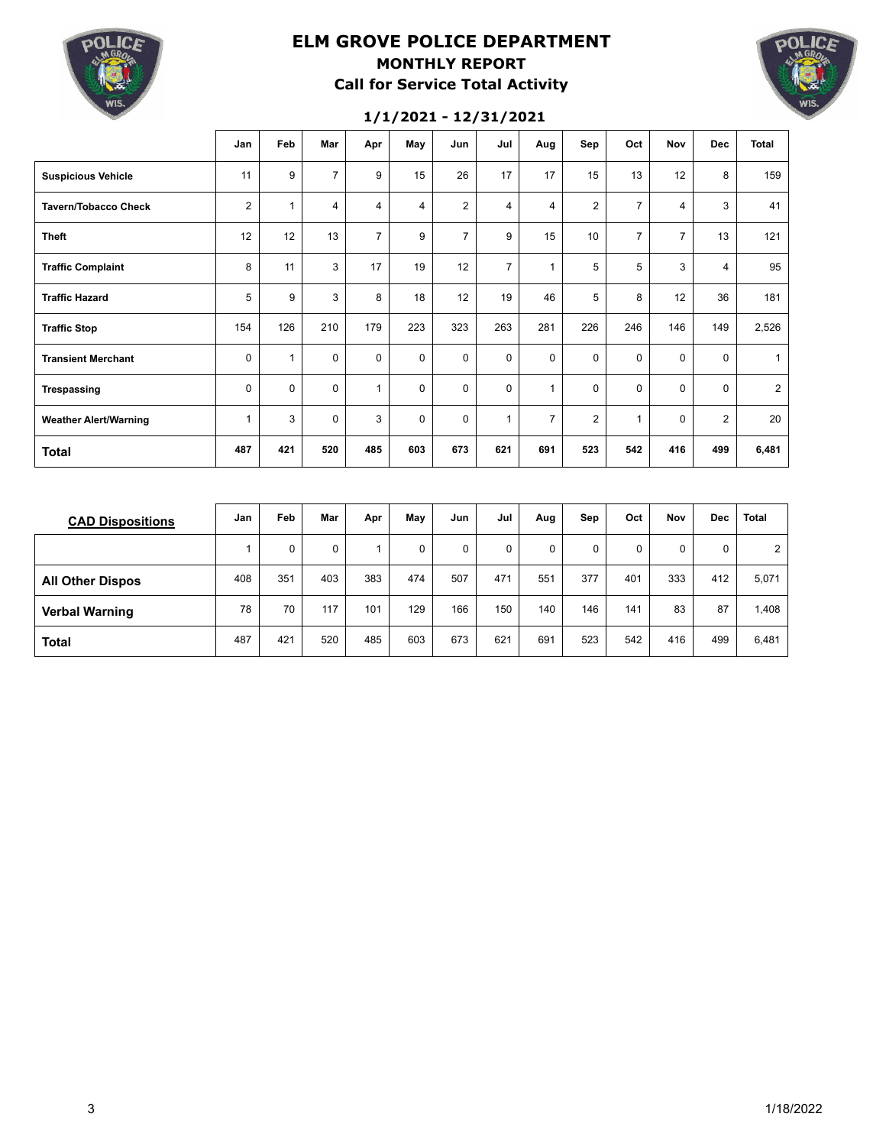

### **ELM GROVE POLICE DEPARTMENT MONTHLY REPORT Call for Service Total Activity**



#### **1/1/2021 - 12/31/2021**

|                              | Jan            | Feb          | Mar            | Apr            | May         | Jun            | Jul            | Aug            | Sep            | Oct            | <b>Nov</b>     | <b>Dec</b>     | <b>Total</b>   |
|------------------------------|----------------|--------------|----------------|----------------|-------------|----------------|----------------|----------------|----------------|----------------|----------------|----------------|----------------|
| <b>Suspicious Vehicle</b>    | 11             | 9            | $\overline{7}$ | 9              | 15          | 26             | 17             | 17             | 15             | 13             | 12             | 8              | 159            |
| <b>Tavern/Tobacco Check</b>  | $\overline{2}$ | $\mathbf{1}$ | 4              | $\overline{4}$ | 4           | $\overline{2}$ | $\overline{4}$ | 4              | $\overline{2}$ | $\overline{7}$ | 4              | 3              | 41             |
| <b>Theft</b>                 | 12             | 12           | 13             | $\overline{7}$ | 9           | $\overline{7}$ | 9              | 15             | 10             | $\overline{7}$ | $\overline{7}$ | 13             | 121            |
| <b>Traffic Complaint</b>     | 8              | 11           | 3              | 17             | 19          | 12             | $\overline{7}$ | 1              | 5              | 5              | 3              | 4              | 95             |
| <b>Traffic Hazard</b>        | 5              | 9            | 3              | 8              | 18          | 12             | 19             | 46             | 5              | 8              | 12             | 36             | 181            |
| <b>Traffic Stop</b>          | 154            | 126          | 210            | 179            | 223         | 323            | 263            | 281            | 226            | 246            | 146            | 149            | 2,526          |
| <b>Transient Merchant</b>    | 0              | $\mathbf{1}$ | $\mathbf 0$    | 0              | $\mathbf 0$ | $\mathbf 0$    | $\mathbf 0$    | $\mathbf 0$    | $\mathbf 0$    | $\mathbf 0$    | $\mathbf 0$    | 0              | $\mathbf{1}$   |
| Trespassing                  | 0              | $\mathbf 0$  | 0              | $\overline{1}$ | $\mathbf 0$ | $\Omega$       | $\mathbf 0$    | 1              | $\mathbf 0$    | 0              | $\mathbf 0$    | $\Omega$       | $\overline{2}$ |
| <b>Weather Alert/Warning</b> | 1              | 3            | 0              | 3              | $\mathbf 0$ | $\Omega$       | $\mathbf{1}$   | $\overline{7}$ | $\overline{2}$ | $\mathbf{1}$   | $\mathbf 0$    | $\overline{2}$ | 20             |
| <b>Total</b>                 | 487            | 421          | 520            | 485            | 603         | 673            | 621            | 691            | 523            | 542            | 416            | 499            | 6,481          |

| <b>CAD Dispositions</b> | Jan | <b>Feb</b> | Mar      | Apr | May | Jun | Jul | Aug | Sep | Oct | Nov | Dec | <b>Total</b> |
|-------------------------|-----|------------|----------|-----|-----|-----|-----|-----|-----|-----|-----|-----|--------------|
|                         |     | 0          | $\Omega$ |     | 0   | 0   | 0   | 0   | 0   | 0   | 0   | 0   | 2            |
| <b>All Other Dispos</b> | 408 | 351        | 403      | 383 | 474 | 507 | 471 | 551 | 377 | 401 | 333 | 412 | 5,071        |
| <b>Verbal Warning</b>   | 78  | 70         | 117      | 101 | 129 | 166 | 150 | 140 | 146 | 141 | 83  | 87  | 1,408        |
| <b>Total</b>            | 487 | 421        | 520      | 485 | 603 | 673 | 621 | 691 | 523 | 542 | 416 | 499 | 6,481        |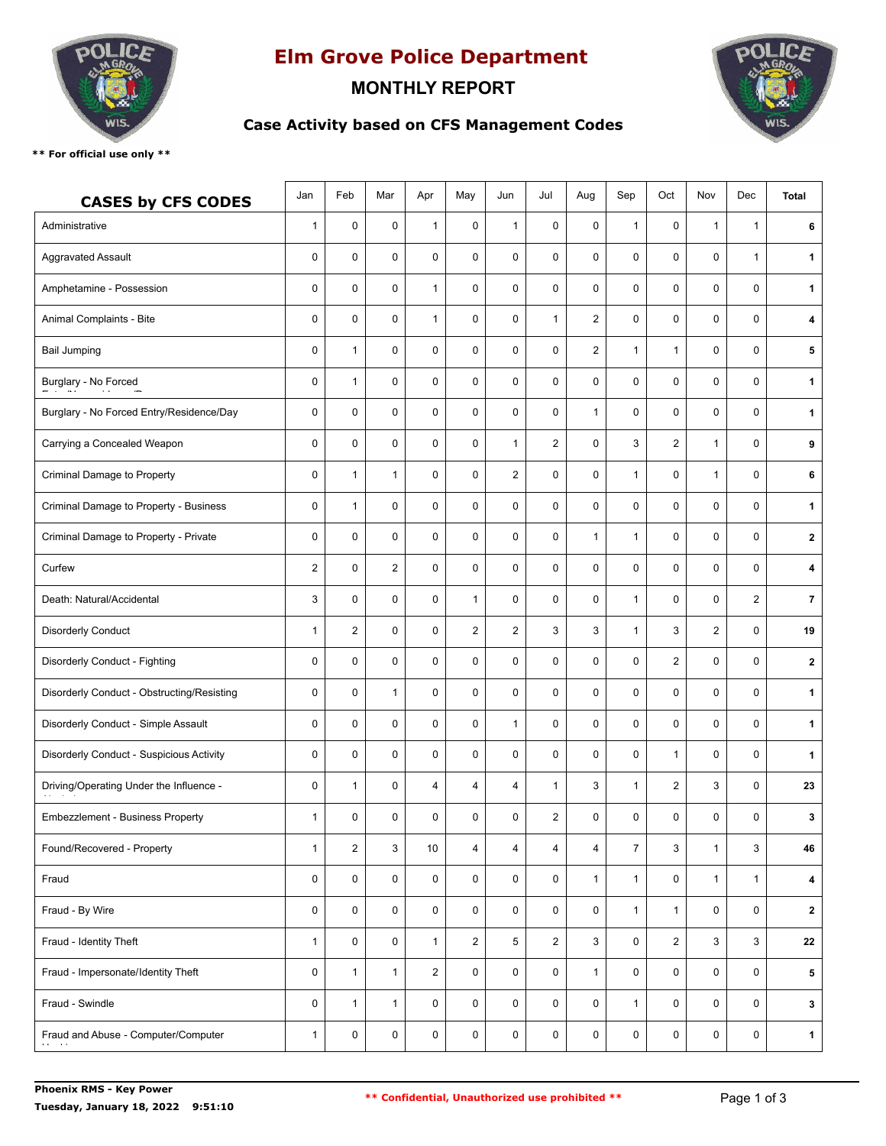

# **Elm Grove Police Department**

## **MONTHLY REPORT**



### **Case Activity based on CFS Management Codes**

**\*\* For official use only \*\***

| <b>CASES by CFS CODES</b>                  | Jan            | Feb                     | Mar            | Apr            | May            | Jun            | Jul            | Aug                     | Sep            | Oct            | Nov            | Dec            | <b>Total</b>   |
|--------------------------------------------|----------------|-------------------------|----------------|----------------|----------------|----------------|----------------|-------------------------|----------------|----------------|----------------|----------------|----------------|
| Administrative                             | 1              | $\mathbf 0$             | $\pmb{0}$      | $\mathbf{1}$   | $\mathbf 0$    | $\mathbf{1}$   | $\mathbf 0$    | 0                       | $\mathbf{1}$   | $\mathbf 0$    | $\mathbf{1}$   | 1              | 6              |
| <b>Aggravated Assault</b>                  | $\mathbf 0$    | $\mathbf 0$             | $\mathbf 0$    | $\mathbf 0$    | $\mathbf 0$    | $\mathbf 0$    | 0              | $\mathbf 0$             | $\mathbf 0$    | $\mathbf 0$    | $\mathbf 0$    | $\mathbf{1}$   | $\mathbf 1$    |
| Amphetamine - Possession                   | 0              | 0                       | $\pmb{0}$      | $\mathbf{1}$   | $\pmb{0}$      | $\mathbf 0$    | $\mathbf 0$    | 0                       | $\pmb{0}$      | $\mathbf 0$    | $\mathbf 0$    | $\mathbf 0$    | $\mathbf 1$    |
| Animal Complaints - Bite                   | 0              | 0                       | $\pmb{0}$      | $\mathbf{1}$   | $\pmb{0}$      | $\pmb{0}$      | 1              | $\overline{\mathbf{c}}$ | $\pmb{0}$      | 0              | $\mathbf 0$    | 0              | 4              |
| <b>Bail Jumping</b>                        | 0              | $\mathbf{1}$            | $\mathbf 0$    | 0              | $\mathbf 0$    | $\mathbf 0$    | $\mathbf 0$    | $\mathbf{2}$            | $\mathbf{1}$   | $\mathbf{1}$   | $\mathbf 0$    | 0              | 5              |
| Burglary - No Forced                       | 0              | $\mathbf{1}$            | $\mathbf 0$    | $\mathbf 0$    | 0              | $\mathbf 0$    | 0              | $\mathbf 0$             | 0              | $\mathbf 0$    | $\mathbf 0$    | $\mathbf 0$    | 1              |
| Burglary - No Forced Entry/Residence/Day   | 0              | 0                       | $\pmb{0}$      | 0              | 0              | $\mathbf 0$    | 0              | $\mathbf{1}$            | $\pmb{0}$      | $\mathbf 0$    | $\mathbf 0$    | 0              | $\mathbf 1$    |
| Carrying a Concealed Weapon                | 0              | 0                       | $\mathbf 0$    | 0              | $\mathbf 0$    | $\mathbf{1}$   | 2              | 0                       | 3              | 2              | $\mathbf{1}$   | $\mathbf 0$    | 9              |
| Criminal Damage to Property                | 0              | $\mathbf{1}$            | $\mathbf{1}$   | $\mathbf 0$    | $\pmb{0}$      | $\overline{2}$ | 0              | 0                       | $\mathbf{1}$   | $\mathbf 0$    | $\mathbf{1}$   | $\mathbf 0$    | 6              |
| Criminal Damage to Property - Business     | 0              | 1                       | $\pmb{0}$      | 0              | $\pmb{0}$      | $\mathbf 0$    | $\mathbf 0$    | 0                       | $\pmb{0}$      | 0              | $\mathbf 0$    | 0              | $\mathbf 1$    |
| Criminal Damage to Property - Private      | 0              | 0                       | $\pmb{0}$      | 0              | $\mathbf 0$    | $\mathbf 0$    | 0              | 1                       | $\mathbf{1}$   | $\mathbf 0$    | $\mathbf 0$    | $\mathbf 0$    | $\mathbf{2}$   |
| Curfew                                     | $\overline{2}$ | 0                       | $\overline{2}$ | 0              | $\mathbf 0$    | $\mathbf 0$    | $\mathbf 0$    | 0                       | $\mathbf 0$    | $\mathbf 0$    | $\mathbf 0$    | 0              | 4              |
| Death: Natural/Accidental                  | 3              | 0                       | $\pmb{0}$      | 0              | 1              | $\mathbf 0$    | 0              | 0                       | $\mathbf{1}$   | $\mathbf 0$    | $\mathbf 0$    | $\overline{2}$ | $\overline{7}$ |
| <b>Disorderly Conduct</b>                  | $\mathbf{1}$   | $\overline{2}$          | $\mathbf 0$    | $\mathbf 0$    | $\overline{2}$ | $\overline{2}$ | 3              | 3                       | $\mathbf{1}$   | 3              | $\overline{2}$ | $\mathbf 0$    | 19             |
| Disorderly Conduct - Fighting              | 0              | 0                       | 0              | $\mathbf 0$    | $\pmb{0}$      | $\mathbf 0$    | $\mathbf 0$    | 0                       | $\pmb{0}$      | $\overline{2}$ | $\mathbf 0$    | $\mathbf 0$    | $\mathbf{2}$   |
| Disorderly Conduct - Obstructing/Resisting | 0              | 0                       | $\mathbf{1}$   | 0              | $\pmb{0}$      | $\mathbf 0$    | 0              | 0                       | $\pmb{0}$      | 0              | $\mathbf 0$    | $\mathbf 0$    | $\mathbf 1$    |
| Disorderly Conduct - Simple Assault        | 0              | 0                       | $\mathbf 0$    | 0              | $\mathbf 0$    | $\mathbf{1}$   | $\mathbf 0$    | 0                       | $\mathbf 0$    | $\mathbf 0$    | $\mathbf 0$    | 0              | $\mathbf 1$    |
| Disorderly Conduct - Suspicious Activity   | 0              | 0                       | $\mathbf 0$    | 0              | $\mathbf 0$    | $\mathbf 0$    | $\mathbf 0$    | 0                       | $\pmb{0}$      | $\mathbf{1}$   | $\mathbf 0$    | $\mathbf 0$    | 1              |
| Driving/Operating Under the Influence -    | 0              | $\mathbf{1}$            | 0              | 4              | $\overline{4}$ | $\overline{4}$ | $\mathbf{1}$   | 3                       | $\mathbf{1}$   | 2              | 3              | 0              | 23             |
| <b>Embezzlement - Business Property</b>    | $\mathbf{1}$   | 0                       | $\pmb{0}$      | 0              | 0              | 0              | 2              | 0                       | 0              | 0              | 0              | 0              | 3              |
| Found/Recovered - Property                 | $\mathbf{1}$   | $\overline{\mathbf{c}}$ | 3              | 10             | 4              | $\overline{4}$ | 4              | $\overline{4}$          | $\overline{7}$ | 3              | $\mathbf{1}$   | 3              | 46             |
| Fraud                                      | $\mathsf 0$    | 0                       | $\mathbf 0$    | 0              | 0              | $\mathbf 0$    | $\mathbf 0$    | $\mathbf{1}$            | $\mathbf{1}$   | $\mathbf 0$    | $\mathbf{1}$   | $\mathbf{1}$   | 4              |
| Fraud - By Wire                            | 0              | 0                       | 0              | 0              | 0              | 0              | 0              | 0                       | $\mathbf{1}$   | $\mathbf{1}$   | $\mathbf 0$    | $\mathbf 0$    | $\mathbf{2}$   |
| Fraud - Identity Theft                     | 1              | 0                       | $\mathsf{O}$   | $\mathbf{1}$   | $\overline{2}$ | 5              | $\overline{2}$ | 3                       | 0              | $\overline{2}$ | 3              | 3              | 22             |
| Fraud - Impersonate/Identity Theft         | $\mathsf 0$    | $\mathbf{1}$            | $\mathbf{1}$   | $\overline{2}$ | $\mathsf{O}$   | $\mathsf{O}$   | 0              | $\mathbf{1}$            | 0              | $\mathsf{O}$   | $\mathsf 0$    | 0              | 5              |
| Fraud - Swindle                            | $\mathsf 0$    | $\mathbf{1}$            | $\mathbf{1}$   | 0              | 0              | $\mathbf 0$    | 0              | 0                       | $\mathbf{1}$   | 0              | $\mathbf 0$    | $\mathbf 0$    | $\mathbf{3}$   |
| Fraud and Abuse - Computer/Computer        | $\mathbf{1}$   | 0                       | 0              | 0              | $\mathbf 0$    | $\mathbf 0$    | 0              | 0                       | 0              | 0              | $\mathsf 0$    | $\mathbf 0$    | $\mathbf{1}$   |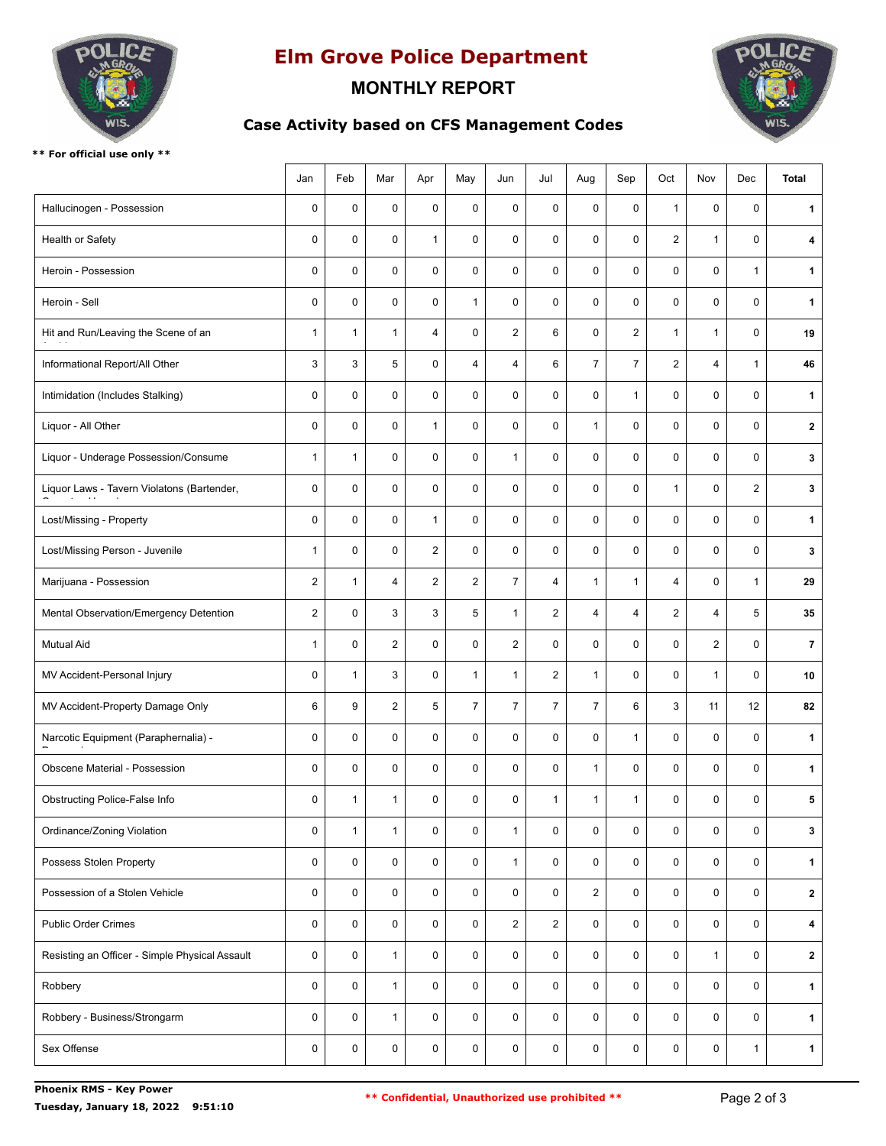

# **Elm Grove Police Department**

### **MONTHLY REPORT**

**Case Activity based on CFS Management Codes**



**\*\* For official use only \*\***

|                                                | Jan            | Feb          | Mar            | Apr            | May            | Jun            | Jul                     | Aug            | Sep            | Oct            | Nov            | Dec            | <b>Total</b>   |
|------------------------------------------------|----------------|--------------|----------------|----------------|----------------|----------------|-------------------------|----------------|----------------|----------------|----------------|----------------|----------------|
| Hallucinogen - Possession                      | $\mathbf 0$    | $\pmb{0}$    | 0              | $\mathsf 0$    | $\mathbf 0$    | $\mathbf 0$    | $\mathbf 0$             | 0              | $\mathsf 0$    | $\mathbf{1}$   | $\mathbf 0$    | 0              | $\mathbf 1$    |
| Health or Safety                               | $\mathbf 0$    | $\mathbf 0$  | $\mathbf 0$    | $\mathbf{1}$   | $\mathbf 0$    | $\mathbf 0$    | $\mathbf 0$             | $\mathbf 0$    | 0              | $\overline{2}$ | $\mathbf{1}$   | $\mathbf 0$    | 4              |
| Heroin - Possession                            | $\mathbf 0$    | 0            | $\mathsf{O}$   | 0              | $\mathbf 0$    | $\mathbf 0$    | 0                       | $\pmb{0}$      | 0              | $\mathbf 0$    | $\mathbf 0$    | $\mathbf{1}$   | $\mathbf 1$    |
| Heroin - Sell                                  | $\pmb{0}$      | 0            | $\pmb{0}$      | 0              | $\mathbf{1}$   | $\mathbf 0$    | 0                       | 0              | 0              | 0              | $\mathbf 0$    | $\mathbf 0$    | $\mathbf 1$    |
| Hit and Run/Leaving the Scene of an            | $\mathbf{1}$   | $\mathbf{1}$ | $\mathbf{1}$   | $\overline{4}$ | $\mathbf 0$    | 2              | 6                       | 0              | 2              | $\mathbf{1}$   | $\mathbf{1}$   | $\mathbf 0$    | 19             |
| Informational Report/All Other                 | 3              | 3            | 5              | 0              | $\overline{4}$ | $\overline{4}$ | 6                       | $\overline{7}$ | $\overline{7}$ | $\overline{c}$ | $\overline{4}$ | $\mathbf{1}$   | 46             |
| Intimidation (Includes Stalking)               | $\mathbf 0$    | 0            | 0              | $\mathsf 0$    | $\mathbf 0$    | $\mathbf 0$    | $\mathbf 0$             | $\mathbf 0$    | $\mathbf{1}$   | $\mathbf 0$    | $\mathbf 0$    | $\mathbf 0$    | $\mathbf 1$    |
| Liquor - All Other                             | $\mathbf 0$    | $\mathbf 0$  | $\mathbf 0$    | $\mathbf{1}$   | 0              | $\mathbf 0$    | $\mathbf 0$             | $\mathbf{1}$   | 0              | 0              | $\mathbf 0$    | $\mathbf 0$    | $\mathbf{2}$   |
| Liquor - Underage Possession/Consume           | $\mathbf{1}$   | $\mathbf{1}$ | 0              | 0              | 0              | $\mathbf{1}$   | $\mathbf 0$             | $\pmb{0}$      | 0              | $\mathbf 0$    | $\mathbf 0$    | $\mathbf 0$    | 3              |
| Liquor Laws - Tavern Violatons (Bartender,     | $\pmb{0}$      | 0            | 0              | $\mathsf 0$    | 0              | $\mathbf 0$    | $\mathbf 0$             | 0              | 0              | $\mathbf{1}$   | $\mathbf 0$    | $\overline{2}$ | 3              |
| Lost/Missing - Property                        | $\mathbf 0$    | 0            | 0              | $\mathbf{1}$   | 0              | $\mathbf 0$    | 0                       | 0              | 0              | 0              | $\mathbf 0$    | $\mathbf 0$    | 1              |
| Lost/Missing Person - Juvenile                 | $\mathbf{1}$   | 0            | 0              | $\overline{2}$ | 0              | $\mathbf 0$    | $\mathbf 0$             | $\mathbf 0$    | 0              | 0              | $\mathbf 0$    | $\mathbf 0$    | 3              |
| Marijuana - Possession                         | $\overline{2}$ | 1            | $\overline{4}$ | $\overline{2}$ | $\overline{2}$ | $\overline{7}$ | 4                       | $\mathbf{1}$   | $\mathbf{1}$   | $\overline{4}$ | $\mathbf 0$    | 1              | 29             |
| Mental Observation/Emergency Detention         | $\overline{2}$ | 0            | 3              | 3              | 5              | $\mathbf{1}$   | $\overline{2}$          | $\overline{4}$ | $\overline{4}$ | $\overline{2}$ | $\overline{4}$ | 5              | 35             |
| <b>Mutual Aid</b>                              | $\mathbf{1}$   | 0            | $\overline{2}$ | 0              | 0              | $\overline{2}$ | $\mathbf 0$             | $\pmb{0}$      | 0              | 0              | $\overline{2}$ | $\mathbf 0$    | $\overline{7}$ |
| MV Accident-Personal Injury                    | $\mathbf 0$    | 1            | 3              | 0              | $\mathbf{1}$   | $\mathbf{1}$   | $\overline{\mathbf{c}}$ | $\mathbf{1}$   | 0              | 0              | $\mathbf{1}$   | $\mathbf 0$    | 10             |
| MV Accident-Property Damage Only               | 6              | 9            | $\overline{2}$ | 5              | $\overline{7}$ | $\overline{7}$ | $\overline{7}$          | $\overline{7}$ | 6              | 3              | 11             | 12             | 82             |
| Narcotic Equipment (Paraphernalia) -           | $\mathbf 0$    | $\mathbf 0$  | 0              | 0              | $\mathbf 0$    | $\mathbf 0$    | $\mathbf 0$             | 0              | $\mathbf{1}$   | $\mathbf 0$    | $\mathbf 0$    | $\mathbf 0$    | $\mathbf 1$    |
| Obscene Material - Possession                  | $\pmb{0}$      | 0            | 0              | 0              | 0              | $\mathbf 0$    | 0                       | $\mathbf{1}$   | 0              | 0              | $\mathbf 0$    | $\mathbf 0$    | $\mathbf 1$    |
| Obstructing Police-False Info                  | $\pmb{0}$      | 1            | 1              | 0              | 0              | $\pmb{0}$      | 1                       | 1              | $\mathbf{1}$   | 0              | $\pmb{0}$      | 0              | 5              |
| Ordinance/Zoning Violation                     | $\pmb{0}$      | $\mathbf{1}$ | $\mathbf{1}$   | 0              | 0              | $\mathbf{1}$   | 0                       | $\mathbf 0$    | 0              | $\mathbf 0$    | $\pmb{0}$      | 0              | $\mathbf{3}$   |
| Possess Stolen Property                        | $\pmb{0}$      | $\mathsf 0$  | $\mathsf{O}$   | $\pmb{0}$      | 0              | $\mathbf{1}$   | $\mathbf 0$             | $\mathsf{O}$   | 0              | 0              | $\pmb{0}$      | $\mathbf 0$    | $\mathbf{1}$   |
| Possession of a Stolen Vehicle                 | $\pmb{0}$      | 0            | 0              | 0              | 0              | $\pmb{0}$      | 0                       | $\overline{2}$ | 0              | 0              | $\pmb{0}$      | 0              | $\mathbf{2}$   |
| <b>Public Order Crimes</b>                     | $\pmb{0}$      | $\mathsf{O}$ | $\mathsf{O}$   | 0              | 0              | $\overline{2}$ | $\overline{2}$          | 0              | 0              | $\mathsf 0$    | $\mathbf 0$    | $\mathbf 0$    | 4              |
| Resisting an Officer - Simple Physical Assault | $\pmb{0}$      | $\mathsf{O}$ | $\mathbf{1}$   | 0              | 0              | 0              | 0                       | $\mathsf{O}$   | 0              | 0              | $\mathbf{1}$   | 0              | $\mathbf{2}$   |
| Robbery                                        | $\pmb{0}$      | 0            | $\mathbf{1}$   | 0              | $\mathbf 0$    | $\mathbf 0$    | 0                       | $\mathbf 0$    | 0              | $\mathbf 0$    | $\pmb{0}$      | 0              | $\mathbf{1}$   |
| Robbery - Business/Strongarm                   | $\pmb{0}$      | $\mathsf{O}$ | $\mathbf{1}$   | 0              | $\mathbf 0$    | 0              | $\mathbf 0$             | $\mathsf{O}$   | 0              | $\mathbf 0$    | $\pmb{0}$      | $\mathbf 0$    | $\mathbf{1}$   |
| Sex Offense                                    | $\pmb{0}$      | $\pmb{0}$    | 0              | $\pmb{0}$      | 0              | 0              | 0                       | 0              | 0              | 0              | 0              | $\mathbf{1}$   | 1              |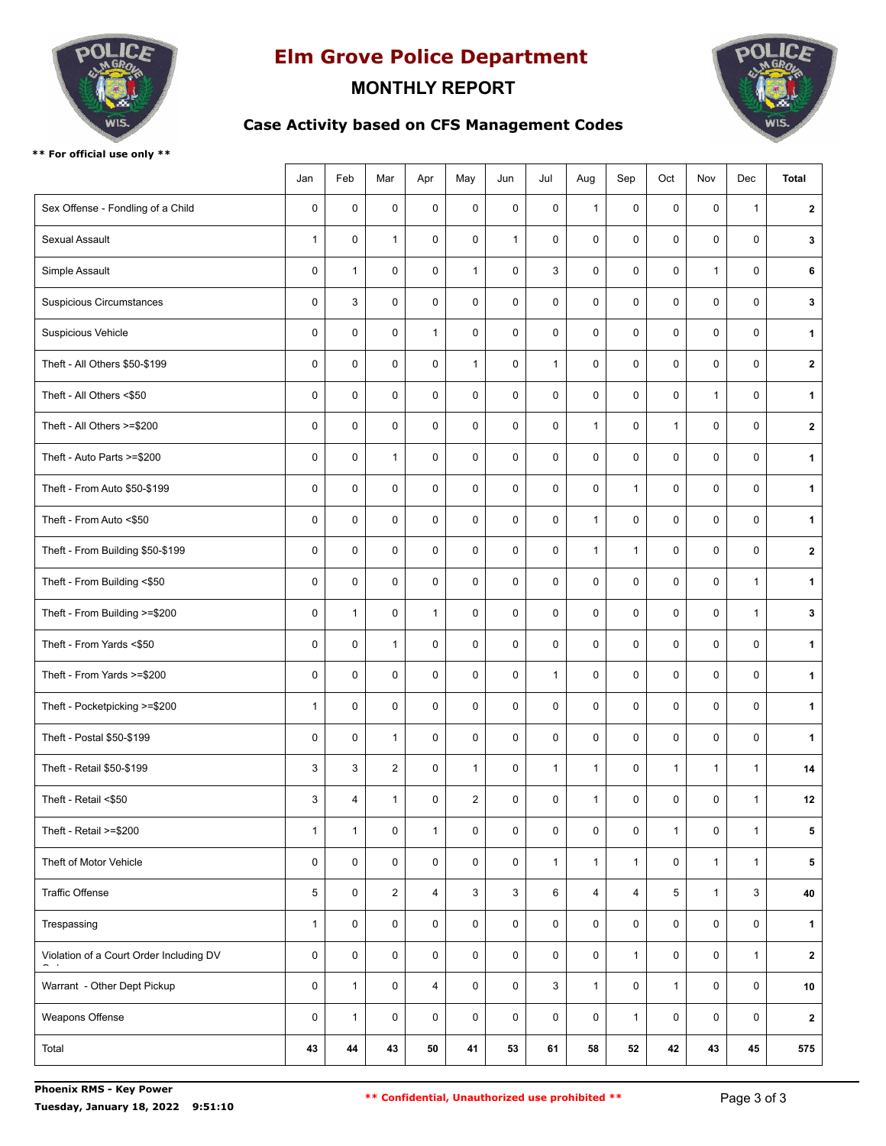

# **Elm Grove Police Department**

### **MONTHLY REPORT**

**Case Activity based on CFS Management Codes**



**\*\* For official use only \*\***

|                                         | Jan          | Feb          | Mar                     | Apr          | May            | Jun          | Jul          | Aug            | Sep            | Oct          | Nov          | Dec          | <b>Total</b> |
|-----------------------------------------|--------------|--------------|-------------------------|--------------|----------------|--------------|--------------|----------------|----------------|--------------|--------------|--------------|--------------|
| Sex Offense - Fondling of a Child       | $\mathbf 0$  | 0            | 0                       | $\mathsf 0$  | $\mathbf 0$    | $\mathbf 0$  | 0            | $\mathbf{1}$   | $\mathbf 0$    | 0            | $\mathbf 0$  | $\mathbf{1}$ | $\mathbf{2}$ |
| Sexual Assault                          | $\mathbf{1}$ | 0            | $\mathbf{1}$            | 0            | $\mathbf 0$    | $\mathbf{1}$ | $\mathbf 0$  | $\mathbf 0$    | 0              | $\mathbf 0$  | $\mathbf 0$  | $\mathbf 0$  | $\mathbf{3}$ |
| Simple Assault                          | $\mathbf 0$  | $\mathbf{1}$ | 0                       | 0            | $\mathbf{1}$   | $\mathbf 0$  | 3            | 0              | $\pmb{0}$      | 0            | $\mathbf{1}$ | 0            | 6            |
| <b>Suspicious Circumstances</b>         | $\mathbf 0$  | 3            | 0                       | 0            | $\pmb{0}$      | $\mathbf 0$  | 0            | 0              | $\pmb{0}$      | 0            | $\mathbf 0$  | $\mathbf 0$  | 3            |
| Suspicious Vehicle                      | $\mathbf 0$  | $\mathbf 0$  | 0                       | $\mathbf{1}$ | $\mathbf 0$    | $\mathbf 0$  | $\mathbf 0$  | 0              | $\pmb{0}$      | 0            | $\mathbf 0$  | $\mathbf 0$  | $\mathbf{1}$ |
| Theft - All Others \$50-\$199           | $\mathbf 0$  | $\mathbf 0$  | 0                       | 0            | $\mathbf{1}$   | $\mathbf 0$  | $\mathbf{1}$ | 0              | $\pmb{0}$      | 0            | $\mathbf 0$  | $\mathbf 0$  | $\mathbf{2}$ |
| Theft - All Others <\$50                | $\mathbf 0$  | 0            | 0                       | 0            | $\pmb{0}$      | $\mathbf 0$  | 0            | 0              | 0              | 0            | $\mathbf{1}$ | $\mathbf 0$  | $\mathbf{1}$ |
| Theft - All Others >=\$200              | $\mathbf 0$  | $\mathbf 0$  | 0                       | 0            | $\pmb{0}$      | $\mathbf 0$  | 0            | $\mathbf{1}$   | 0              | $\mathbf{1}$ | $\mathbf 0$  | $\mathbf 0$  | $\mathbf{2}$ |
| Theft - Auto Parts >=\$200              | $\mathbf 0$  | 0            | $\mathbf{1}$            | 0            | $\pmb{0}$      | $\mathbf 0$  | 0            | 0              | $\pmb{0}$      | 0            | $\mathbf 0$  | 0            | $\mathbf 1$  |
| Theft - From Auto \$50-\$199            | $\mathbf 0$  | 0            | 0                       | 0            | $\pmb{0}$      | $\mathbf 0$  | $\mathbf 0$  | 0              | $\mathbf{1}$   | 0            | $\mathbf 0$  | $\mathbf 0$  | $\mathbf{1}$ |
| Theft - From Auto <\$50                 | $\mathbf 0$  | 0            | 0                       | 0            | $\mathbf 0$    | $\mathbf 0$  | 0            | $\mathbf{1}$   | $\pmb{0}$      | 0            | $\mathbf 0$  | $\mathbf 0$  | $\mathbf{1}$ |
| Theft - From Building \$50-\$199        | $\mathbf 0$  | $\mathbf 0$  | 0                       | 0            | $\mathbf 0$    | $\mathbf 0$  | 0            | $\mathbf{1}$   | $\mathbf{1}$   | 0            | $\mathbf 0$  | $\mathbf 0$  | $\mathbf{2}$ |
| Theft - From Building <\$50             | $\mathbf 0$  | 0            | 0                       | 0            | $\pmb{0}$      | $\mathbf 0$  | 0            | 0              | 0              | 0            | $\mathbf 0$  | $\mathbf{1}$ | $\mathbf 1$  |
| Theft - From Building >=\$200           | $\mathbf 0$  | $\mathbf{1}$ | 0                       | $\mathbf{1}$ | $\pmb{0}$      | $\mathbf 0$  | 0            | $\mathbf 0$    | 0              | 0            | $\mathbf 0$  | $\mathbf{1}$ | $\mathbf{3}$ |
| Theft - From Yards <\$50                | $\pmb{0}$    | 0            | $\mathbf{1}$            | 0            | $\pmb{0}$      | $\mathbf 0$  | 0            | 0              | $\pmb{0}$      | 0            | $\pmb{0}$    | 0            | $\mathbf{1}$ |
| Theft - From Yards >=\$200              | $\mathbf 0$  | 0            | 0                       | 0            | $\pmb{0}$      | $\mathbf 0$  | $\mathbf{1}$ | 0              | 0              | 0            | $\mathbf 0$  | $\mathbf 0$  | $\mathbf{1}$ |
| Theft - Pocketpicking >=\$200           | $\mathbf{1}$ | $\mathbf 0$  | 0                       | $\mathbf 0$  | $\mathbf 0$    | $\mathbf 0$  | $\mathbf 0$  | 0              | $\mathbf 0$    | 0            | $\mathbf 0$  | $\mathbf 0$  | $\mathbf{1}$ |
| Theft - Postal \$50-\$199               | $\mathbf 0$  | $\mathbf 0$  | $\mathbf{1}$            | 0            | $\pmb{0}$      | $\mathbf 0$  | $\mathsf{O}$ | 0              | $\pmb{0}$      | 0            | $\mathbf 0$  | 0            | $\mathbf 1$  |
| Theft - Retail \$50-\$199               | 3            | 3            | $\overline{2}$          | 0            | $\mathbf{1}$   | 0            | $\mathbf{1}$ | $\mathbf{1}$   | $\pmb{0}$      | $\mathbf{1}$ | $\mathbf{1}$ | $\mathbf{1}$ | 14           |
| Theft - Retail <\$50                    | 3            | 4            | $\mathbf{1}$            | 0            | $\overline{2}$ | $\pmb{0}$    | 0            | $\mathbf{1}$   | $\pmb{0}$      | 0            | $\pmb{0}$    | 1            | 12           |
| Theft - Retail >=\$200                  | $\mathbf{1}$ | $\mathbf{1}$ | 0                       | $\mathbf{1}$ | $\pmb{0}$      | $\mathbf 0$  | 0            | 0              | $\pmb{0}$      | $\mathbf{1}$ | $\pmb{0}$    | $\mathbf{1}$ | 5            |
| Theft of Motor Vehicle                  | $\pmb{0}$    | 0            | 0                       | 0            | $\pmb{0}$      | $\mathbf 0$  | $\mathbf{1}$ | $\mathbf{1}$   | $\mathbf{1}$   | $\mathbf 0$  | $\mathbf{1}$ | $\mathbf{1}$ | 5            |
| Traffic Offense                         | 5            | $\mathsf{O}$ | $\overline{\mathbf{c}}$ | 4            | $\mathbf{3}$   | 3            | 6            | $\overline{4}$ | $\overline{4}$ | 5            | $\mathbf{1}$ | 3            | 40           |
| Trespassing                             | $\mathbf{1}$ | $\mathsf{O}$ | 0                       | $\pmb{0}$    | $\mathsf{O}$   | $\mathbf 0$  | 0            | 0              | 0              | 0            | 0            | 0            | $\mathbf{1}$ |
| Violation of a Court Order Including DV | $\mathbf 0$  | 0            | 0                       | $\pmb{0}$    | 0              | $\mathbf 0$  | 0            | 0              | $\mathbf{1}$   | 0            | $\mathsf 0$  | $\mathbf{1}$ | $\mathbf{2}$ |
| Warrant - Other Dept Pickup             | $\mathbf 0$  | $\mathbf{1}$ | 0                       | 4            | 0              | $\mathbf 0$  | 3            | $\mathbf{1}$   | 0              | $\mathbf{1}$ | 0            | $\mathbf 0$  | 10           |
| Weapons Offense                         | $\pmb{0}$    | $\mathbf{1}$ | 0                       | $\pmb{0}$    | 0              | $\mathbf 0$  | 0            | 0              | $\mathbf{1}$   | 0            | $\pmb{0}$    | $\mathbf 0$  | $\mathbf{2}$ |
| Total                                   | 43           | 44           | 43                      | 50           | 41             | 53           | 61           | 58             | 52             | 42           | 43           | 45           | 575          |